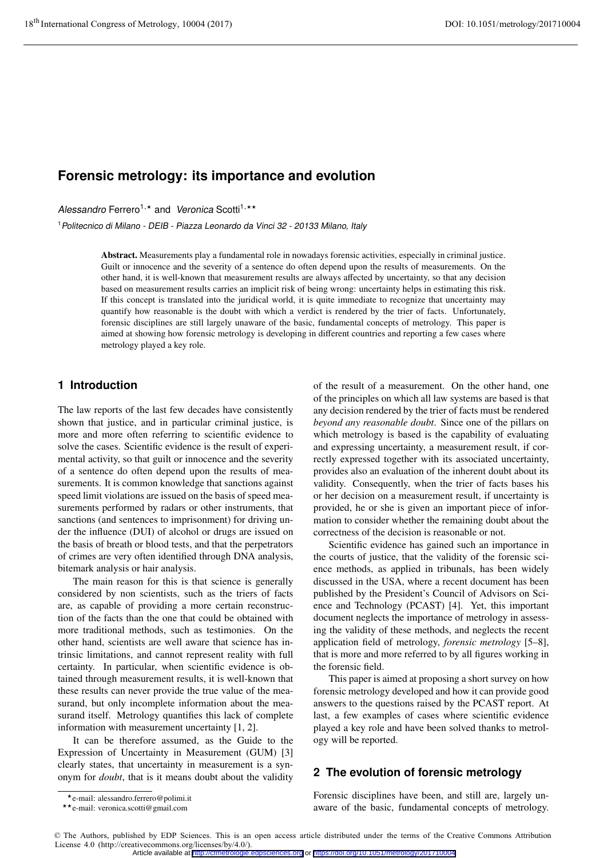# **Forensic metrology: its importance and evolution**

Alessandro Ferrero<sup>1,\*</sup> and Veronica Scotti<sup>1,\*\*</sup>

<sup>1</sup>Politecnico di Milano - DEIB - Piazza Leonardo da Vinci 32 - 20133 Milano, Italy

Abstract. Measurements play a fundamental role in nowadays forensic activities, especially in criminal justice. Guilt or innocence and the severity of a sentence do often depend upon the results of measurements. On the other hand, it is well-known that measurement results are always affected by uncertainty, so that any decision based on measurement results carries an implicit risk of being wrong: uncertainty helps in estimating this risk. If this concept is translated into the juridical world, it is quite immediate to recognize that uncertainty may quantify how reasonable is the doubt with which a verdict is rendered by the trier of facts. Unfortunately, forensic disciplines are still largely unaware of the basic, fundamental concepts of metrology. This paper is aimed at showing how forensic metrology is developing in different countries and reporting a few cases where metrology played a key role.

### **1 Introduction**

The law reports of the last few decades have consistently shown that justice, and in particular criminal justice, is more and more often referring to scientific evidence to solve the cases. Scientific evidence is the result of experimental activity, so that guilt or innocence and the severity of a sentence do often depend upon the results of measurements. It is common knowledge that sanctions against speed limit violations are issued on the basis of speed measurements performed by radars or other instruments, that sanctions (and sentences to imprisonment) for driving under the influence (DUI) of alcohol or drugs are issued on the basis of breath or blood tests, and that the perpetrators of crimes are very often identified through DNA analysis, bitemark analysis or hair analysis.

The main reason for this is that science is generally considered by non scientists, such as the triers of facts are, as capable of providing a more certain reconstruction of the facts than the one that could be obtained with more traditional methods, such as testimonies. On the other hand, scientists are well aware that science has intrinsic limitations, and cannot represent reality with full certainty. In particular, when scientific evidence is obtained through measurement results, it is well-known that these results can never provide the true value of the measurand, but only incomplete information about the measurand itself. Metrology quantifies this lack of complete information with measurement uncertainty [1, 2].

It can be therefore assumed, as the Guide to the Expression of Uncertainty in Measurement (GUM) [3] clearly states, that uncertainty in measurement is a synonym for *doubt*, that is it means doubt about the validity of the result of a measurement. On the other hand, one of the principles on which all law systems are based is that any decision rendered by the trier of facts must be rendered *beyond any reasonable doubt*. Since one of the pillars on which metrology is based is the capability of evaluating and expressing uncertainty, a measurement result, if correctly expressed together with its associated uncertainty, provides also an evaluation of the inherent doubt about its validity. Consequently, when the trier of facts bases his or her decision on a measurement result, if uncertainty is provided, he or she is given an important piece of information to consider whether the remaining doubt about the correctness of the decision is reasonable or not.

Scientific evidence has gained such an importance in the courts of justice, that the validity of the forensic science methods, as applied in tribunals, has been widely discussed in the USA, where a recent document has been published by the President's Council of Advisors on Science and Technology (PCAST) [4]. Yet, this important document neglects the importance of metrology in assessing the validity of these methods, and neglects the recent application field of metrology, *forensic metrology* [5–8], that is more and more referred to by all figures working in the forensic field.

This paper is aimed at proposing a short survey on how forensic metrology developed and how it can provide good answers to the questions raised by the PCAST report. At last, a few examples of cases where scientific evidence played a key role and have been solved thanks to metrology will be reported.

### **2 The evolution of forensic metrology**

Forensic disciplines have been, and still are, largely unaware of the basic, fundamental concepts of metrology.

 $\star$ e-mail: alessandro.ferrero@polimi.it

<sup>\*</sup>e-mail: alessandro.ferrero@polimi.it<br>\*\*e-mail: veronica.scotti@gmail.com

<sup>©</sup> The Authors, published by EDP Sciences. This is an open access article distributed under the terms of the Creative Commons Attribution License 4.0 (http://creativecommons.org/licenses/by/4.0/). Article available at <http://cfmetrologie.edpsciences.org> or <https://doi.org/10.1051/metrology/201710004>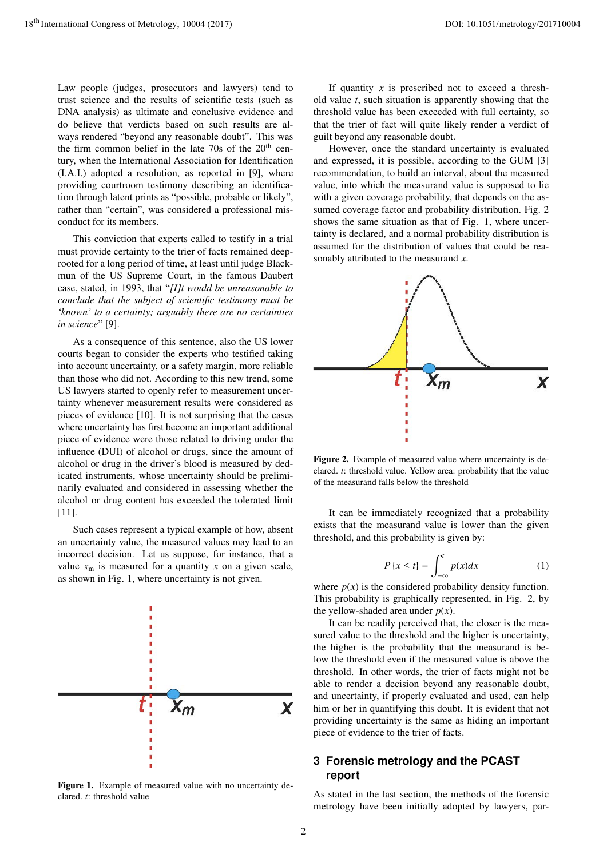Law people (judges, prosecutors and lawyers) tend to trust science and the results of scientific tests (such as DNA analysis) as ultimate and conclusive evidence and do believe that verdicts based on such results are always rendered "beyond any reasonable doubt". This was the firm common belief in the late 70s of the  $20<sup>th</sup>$  century, when the International Association for Identification (I.A.I.) adopted a resolution, as reported in [9], where providing courtroom testimony describing an identification through latent prints as "possible, probable or likely", rather than "certain", was considered a professional misconduct for its members.

This conviction that experts called to testify in a trial must provide certainty to the trier of facts remained deeprooted for a long period of time, at least until judge Blackmun of the US Supreme Court, in the famous Daubert case, stated, in 1993, that "*[I]t would be unreasonable to conclude that the subject of scientific testimony must be 'known' to a certainty; arguably there are no certainties in science*" [9].

As a consequence of this sentence, also the US lower courts began to consider the experts who testified taking into account uncertainty, or a safety margin, more reliable than those who did not. According to this new trend, some US lawyers started to openly refer to measurement uncertainty whenever measurement results were considered as pieces of evidence [10]. It is not surprising that the cases where uncertainty has first become an important additional piece of evidence were those related to driving under the influence (DUI) of alcohol or drugs, since the amount of alcohol or drug in the driver's blood is measured by dedicated instruments, whose uncertainty should be preliminarily evaluated and considered in assessing whether the alcohol or drug content has exceeded the tolerated limit [11].

Such cases represent a typical example of how, absent an uncertainty value, the measured values may lead to an incorrect decision. Let us suppose, for instance, that a value  $x_m$  is measured for a quantity  $x$  on a given scale, as shown in Fig. 1, where uncertainty is not given.



Figure 1. Example of measured value with no uncertainty declared. *t*: threshold value

If quantity *x* is prescribed not to exceed a threshold value *t*, such situation is apparently showing that the threshold value has been exceeded with full certainty, so that the trier of fact will quite likely render a verdict of guilt beyond any reasonable doubt.

However, once the standard uncertainty is evaluated and expressed, it is possible, according to the GUM [3] recommendation, to build an interval, about the measured value, into which the measurand value is supposed to lie with a given coverage probability, that depends on the assumed coverage factor and probability distribution. Fig. 2 shows the same situation as that of Fig. 1, where uncertainty is declared, and a normal probability distribution is assumed for the distribution of values that could be reasonably attributed to the measurand *x*.



Figure 2. Example of measured value where uncertainty is declared. *t*: threshold value. Yellow area: probability that the value of the measurand falls below the threshold

It can be immediately recognized that a probability exists that the measurand value is lower than the given threshold, and this probability is given by:

$$
P\{x \le t\} = \int_{-\infty}^{t} p(x)dx \tag{1}
$$

where  $p(x)$  is the considered probability density function. This probability is graphically represented, in Fig. 2, by the yellow-shaded area under  $p(x)$ .

It can be readily perceived that, the closer is the measured value to the threshold and the higher is uncertainty, the higher is the probability that the measurand is below the threshold even if the measured value is above the threshold. In other words, the trier of facts might not be able to render a decision beyond any reasonable doubt, and uncertainty, if properly evaluated and used, can help him or her in quantifying this doubt. It is evident that not providing uncertainty is the same as hiding an important piece of evidence to the trier of facts.

# **3 Forensic metrology and the PCAST report**

As stated in the last section, the methods of the forensic metrology have been initially adopted by lawyers, par-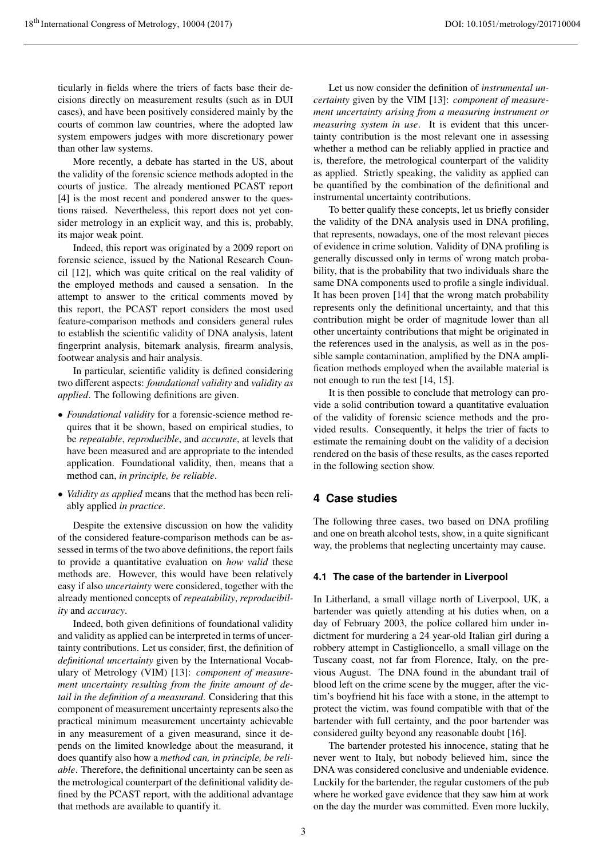ticularly in fields where the triers of facts base their decisions directly on measurement results (such as in DUI cases), and have been positively considered mainly by the courts of common law countries, where the adopted law system empowers judges with more discretionary power than other law systems.

More recently, a debate has started in the US, about the validity of the forensic science methods adopted in the courts of justice. The already mentioned PCAST report [4] is the most recent and pondered answer to the questions raised. Nevertheless, this report does not yet consider metrology in an explicit way, and this is, probably, its major weak point.

Indeed, this report was originated by a 2009 report on forensic science, issued by the National Research Council [12], which was quite critical on the real validity of the employed methods and caused a sensation. In the attempt to answer to the critical comments moved by this report, the PCAST report considers the most used feature-comparison methods and considers general rules to establish the scientific validity of DNA analysis, latent fingerprint analysis, bitemark analysis, firearm analysis, footwear analysis and hair analysis.

In particular, scientific validity is defined considering two different aspects: *foundational validity* and *validity as applied*. The following definitions are given.

- *Foundational validity* for a forensic-science method requires that it be shown, based on empirical studies, to be *repeatable*, *reproducible*, and *accurate*, at levels that have been measured and are appropriate to the intended application. Foundational validity, then, means that a method can, *in principle, be reliable*.
- *Validity as applied* means that the method has been reliably applied *in practice*.

Despite the extensive discussion on how the validity of the considered feature-comparison methods can be assessed in terms of the two above definitions, the report fails to provide a quantitative evaluation on *how valid* these methods are. However, this would have been relatively easy if also *uncertainty* were considered, together with the already mentioned concepts of *repeatability*, *reproducibility* and *accuracy*.

Indeed, both given definitions of foundational validity and validity as applied can be interpreted in terms of uncertainty contributions. Let us consider, first, the definition of *definitional uncertainty* given by the International Vocabulary of Metrology (VIM) [13]: *component of measurement uncertainty resulting from the finite amount of detail in the definition of a measurand*. Considering that this component of measurement uncertainty represents also the practical minimum measurement uncertainty achievable in any measurement of a given measurand, since it depends on the limited knowledge about the measurand, it does quantify also how a *method can, in principle, be reliable*. Therefore, the definitional uncertainty can be seen as the metrological counterpart of the definitional validity defined by the PCAST report, with the additional advantage that methods are available to quantify it.

Let us now consider the definition of *instrumental uncertainty* given by the VIM [13]: *component of measurement uncertainty arising from a measuring instrument or measuring system in use*. It is evident that this uncertainty contribution is the most relevant one in assessing whether a method can be reliably applied in practice and is, therefore, the metrological counterpart of the validity as applied. Strictly speaking, the validity as applied can be quantified by the combination of the definitional and instrumental uncertainty contributions.

To better qualify these concepts, let us briefly consider the validity of the DNA analysis used in DNA profiling, that represents, nowadays, one of the most relevant pieces of evidence in crime solution. Validity of DNA profiling is generally discussed only in terms of wrong match probability, that is the probability that two individuals share the same DNA components used to profile a single individual. It has been proven [14] that the wrong match probability represents only the definitional uncertainty, and that this contribution might be order of magnitude lower than all other uncertainty contributions that might be originated in the references used in the analysis, as well as in the possible sample contamination, amplified by the DNA amplification methods employed when the available material is not enough to run the test [14, 15].

It is then possible to conclude that metrology can provide a solid contribution toward a quantitative evaluation of the validity of forensic science methods and the provided results. Consequently, it helps the trier of facts to estimate the remaining doubt on the validity of a decision rendered on the basis of these results, as the cases reported in the following section show.

## **4 Case studies**

The following three cases, two based on DNA profiling and one on breath alcohol tests, show, in a quite significant way, the problems that neglecting uncertainty may cause.

#### **4.1 The case of the bartender in Liverpool**

In Litherland, a small village north of Liverpool, UK, a bartender was quietly attending at his duties when, on a day of February 2003, the police collared him under indictment for murdering a 24 year-old Italian girl during a robbery attempt in Castiglioncello, a small village on the Tuscany coast, not far from Florence, Italy, on the previous August. The DNA found in the abundant trail of blood left on the crime scene by the mugger, after the victim's boyfriend hit his face with a stone, in the attempt to protect the victim, was found compatible with that of the bartender with full certainty, and the poor bartender was considered guilty beyond any reasonable doubt [16].

The bartender protested his innocence, stating that he never went to Italy, but nobody believed him, since the DNA was considered conclusive and undeniable evidence. Luckily for the bartender, the regular customers of the pub where he worked gave evidence that they saw him at work on the day the murder was committed. Even more luckily,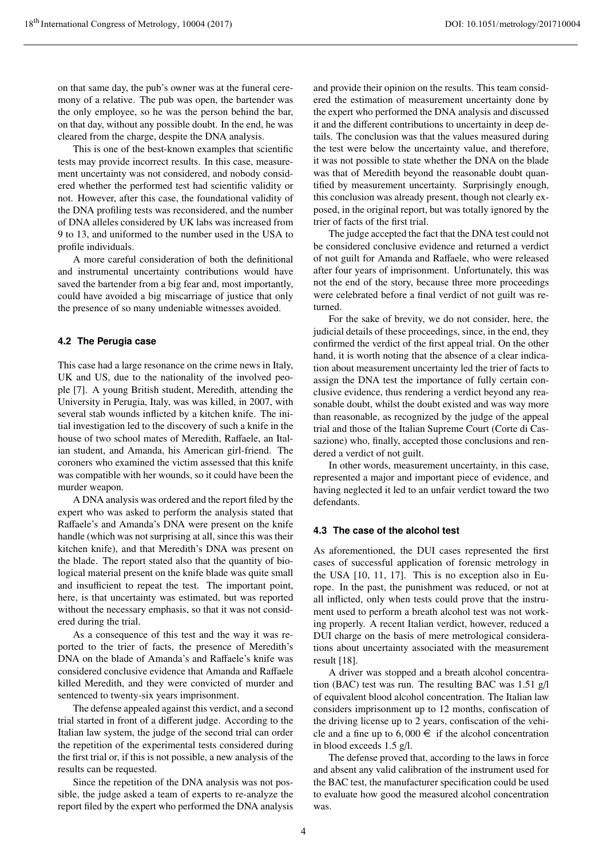on that same day, the pub's owner was at the funeral ceremony of a relative. The pub was open, the bartender was the only employee, so he was the person behind the bar, on that day, without any possible doubt. In the end, he was cleared from the charge, despite the DNA analysis.

This is one of the best-known examples that scientific tests may provide incorrect results. In this case, measurement uncertainty was not considered, and nobody considered whether the performed test had scientific validity or not. However, after this case, the foundational validity of the DNA profiling tests was reconsidered, and the number of DNA alleles considered by UK labs was increased from 9 to 13, and uniformed to the number used in the USA to profile individuals.

A more careful consideration of both the definitional and instrumental uncertainty contributions would have saved the bartender from a big fear and, most importantly, could have avoided a big miscarriage of justice that only the presence of so many undeniable witnesses avoided.

#### **4.2 The Perugia case**

This case had a large resonance on the crime news in Italy, UK and US, due to the nationality of the involved people [7]. A young British student, Meredith, attending the University in Perugia, Italy, was was killed, in 2007, with several stab wounds inflicted by a kitchen knife. The initial investigation led to the discovery of such a knife in the house of two school mates of Meredith, Raffaele, an Italian student, and Amanda, his American girl-friend. The coroners who examined the victim assessed that this knife was compatible with her wounds, so it could have been the murder weapon.

A DNA analysis was ordered and the report filed by the expert who was asked to perform the analysis stated that Raffaele's and Amanda's DNA were present on the knife handle (which was not surprising at all, since this was their kitchen knife), and that Meredith's DNA was present on the blade. The report stated also that the quantity of biological material present on the knife blade was quite small and insufficient to repeat the test. The important point, here, is that uncertainty was estimated, but was reported without the necessary emphasis, so that it was not considered during the trial.

As a consequence of this test and the way it was reported to the trier of facts, the presence of Meredith's DNA on the blade of Amanda's and Raffaele's knife was considered conclusive evidence that Amanda and Raffaele killed Meredith, and they were convicted of murder and sentenced to twenty-six years imprisonment.

The defense appealed against this verdict, and a second trial started in front of a different judge. According to the Italian law system, the judge of the second trial can order the repetition of the experimental tests considered during the first trial or, if this is not possible, a new analysis of the results can be requested.

Since the repetition of the DNA analysis was not possible, the judge asked a team of experts to re-analyze the report filed by the expert who performed the DNA analysis and provide their opinion on the results. This team considered the estimation of measurement uncertainty done by the expert who performed the DNA analysis and discussed it and the different contributions to uncertainty in deep details. The conclusion was that the values measured during the test were below the uncertainty value, and therefore, it was not possible to state whether the DNA on the blade was that of Meredith beyond the reasonable doubt quantified by measurement uncertainty. Surprisingly enough, this conclusion was already present, though not clearly exposed, in the original report, but was totally ignored by the trier of facts of the first trial.

The judge accepted the fact that the DNA test could not be considered conclusive evidence and returned a verdict of not guilt for Amanda and Raffaele, who were released after four years of imprisonment. Unfortunately, this was not the end of the story, because three more proceedings were celebrated before a final verdict of not guilt was returned.

For the sake of brevity, we do not consider, here, the judicial details of these proceedings, since, in the end, they confirmed the verdict of the first appeal trial. On the other hand, it is worth noting that the absence of a clear indication about measurement uncertainty led the trier of facts to assign the DNA test the importance of fully certain conclusive evidence, thus rendering a verdict beyond any reasonable doubt, whilst the doubt existed and was way more than reasonable, as recognized by the judge of the appeal trial and those of the Italian Supreme Court (Corte di Cassazione) who, finally, accepted those conclusions and rendered a verdict of not guilt.

In other words, measurement uncertainty, in this case, represented a major and important piece of evidence, and having neglected it led to an unfair verdict toward the two defendants.

#### **4.3 The case of the alcohol test**

As aforementioned, the DUI cases represented the first cases of successful application of forensic metrology in the USA [10, 11, 17]. This is no exception also in Europe. In the past, the punishment was reduced, or not at all inflicted, only when tests could prove that the instrument used to perform a breath alcohol test was not working properly. A recent Italian verdict, however, reduced a DUI charge on the basis of mere metrological considerations about uncertainty associated with the measurement result [18].

A driver was stopped and a breath alcohol concentration (BAC) test was run. The resulting BAC was 1.51 g/l of equivalent blood alcohol concentration. The Italian law considers imprisonment up to 12 months, confiscation of the driving license up to 2 years, confiscation of the vehicle and a fine up to  $6,000 \in \mathbb{R}$  if the alcohol concentration in blood exceeds 1.5 g/l.

The defense proved that, according to the laws in force and absent any valid calibration of the instrument used for the BAC test, the manufacturer specification could be used to evaluate how good the measured alcohol concentration was.